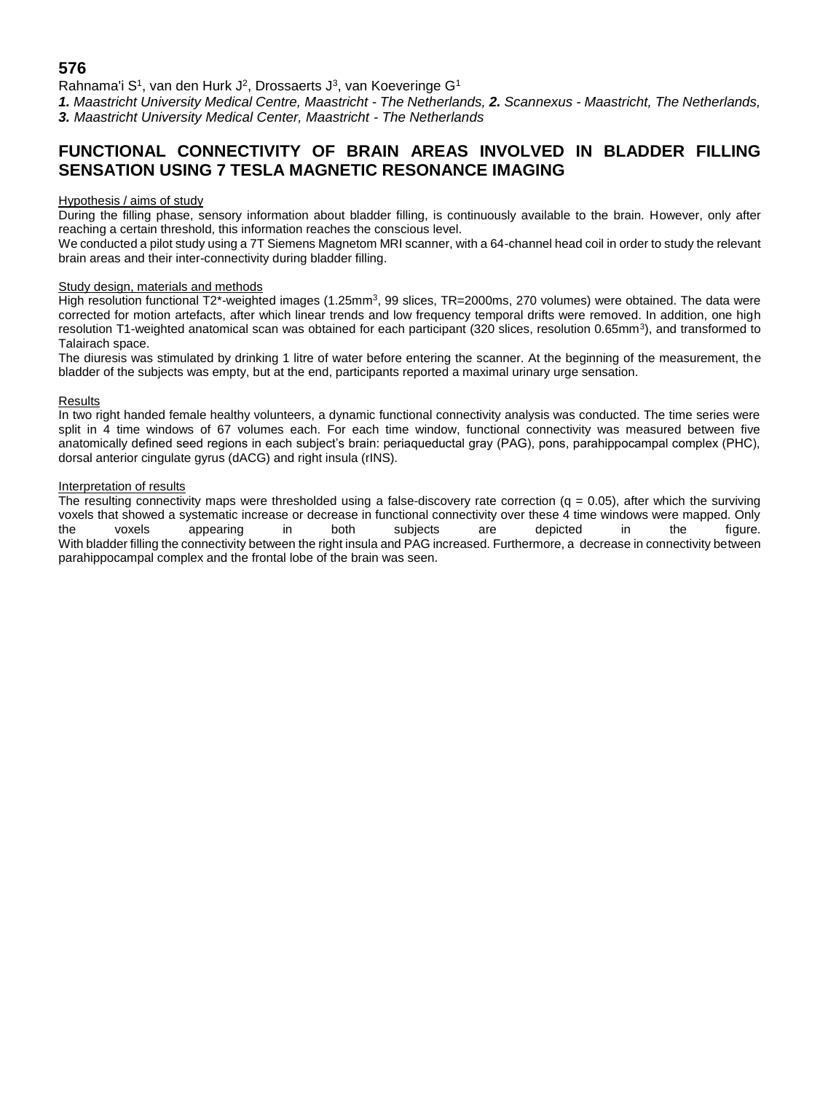## **576**

Rahnama'i S<sup>1</sup>, van den Hurk J<sup>2</sup>, Drossaerts J<sup>3</sup>, van Koeveringe G<sup>1</sup>

*1. Maastricht University Medical Centre, Maastricht - The Netherlands, 2. Scannexus - Maastricht, The Netherlands, 3. Maastricht University Medical Center, Maastricht - The Netherlands*

# **FUNCTIONAL CONNECTIVITY OF BRAIN AREAS INVOLVED IN BLADDER FILLING SENSATION USING 7 TESLA MAGNETIC RESONANCE IMAGING**

### Hypothesis / aims of study

During the filling phase, sensory information about bladder filling, is continuously available to the brain. However, only after reaching a certain threshold, this information reaches the conscious level.

We conducted a pilot study using a 7T Siemens Magnetom MRI scanner, with a 64-channel head coil in order to study the relevant brain areas and their inter-connectivity during bladder filling.

#### Study design, materials and methods

High resolution functional T2\*-weighted images (1.25mm<sup>3</sup>, 99 slices, TR=2000ms, 270 volumes) were obtained. The data were corrected for motion artefacts, after which linear trends and low frequency temporal drifts were removed. In addition, one high resolution T1-weighted anatomical scan was obtained for each participant (320 slices, resolution 0.65mm<sup>3</sup>), and transformed to Talairach space.

The diuresis was stimulated by drinking 1 litre of water before entering the scanner. At the beginning of the measurement, the bladder of the subjects was empty, but at the end, participants reported a maximal urinary urge sensation.

#### Results

In two right handed female healthy volunteers, a dynamic functional connectivity analysis was conducted. The time series were split in 4 time windows of 67 volumes each. For each time window, functional connectivity was measured between five anatomically defined seed regions in each subject's brain: periaqueductal gray (PAG), pons, parahippocampal complex (PHC), dorsal anterior cingulate gyrus (dACG) and right insula (rINS).

## Interpretation of results

The resulting connectivity maps were thresholded using a false-discovery rate correction  $(q = 0.05)$ , after which the surviving voxels that showed a systematic increase or decrease in functional connectivity over these 4 time windows were mapped. Only the voxels appearing in both subjects are depicted in the figure. the voxels appearing in both subjects are depicted in the figure. With bladder filling the connectivity between the right insula and PAG increased. Furthermore, a decrease in connectivity between parahippocampal complex and the frontal lobe of the brain was seen.